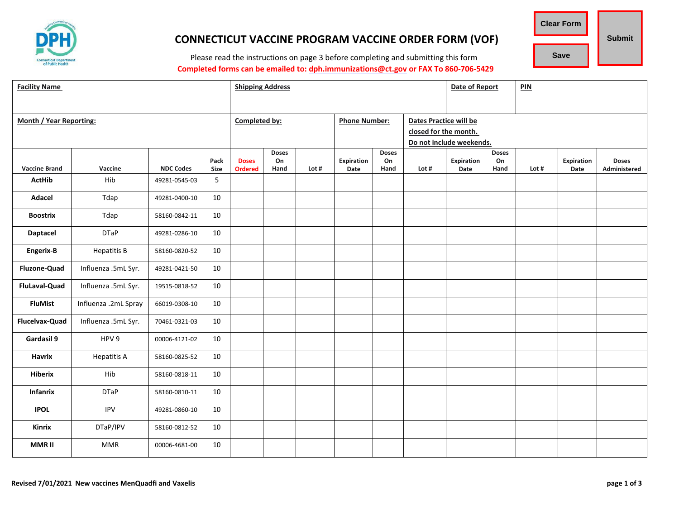

# **CONNECTICUT VACCINE PROGRAM VACCINE ORDER FORM (VOF)**

**Clear Form Save Submit**

Please read the instructions on page 3 before completing and submitting this form **Completed forms can be emailed to: [dph.immunizations@ct.gov](mailto:dph.immunizations@ct.gov) or FAX To 860-706-5429**

| <b>Facility Name</b>           |                      |                  |              | <b>Shipping Address</b>        |            |       |                           | Date of Report |                          | PIN                |            |       |                    |                              |  |
|--------------------------------|----------------------|------------------|--------------|--------------------------------|------------|-------|---------------------------|----------------|--------------------------|--------------------|------------|-------|--------------------|------------------------------|--|
|                                |                      |                  |              |                                |            |       |                           |                |                          |                    |            |       |                    |                              |  |
| <b>Month / Year Reporting:</b> |                      |                  |              | Completed by:                  |            |       | <b>Phone Number:</b>      |                | Dates Practice will be   |                    |            |       |                    |                              |  |
|                                |                      |                  |              |                                |            |       |                           |                | closed for the month.    |                    |            |       |                    |                              |  |
|                                |                      |                  |              |                                |            |       |                           |                | Do not include weekends. |                    |            |       |                    |                              |  |
|                                |                      |                  |              | <b>Doses</b>                   |            |       |                           | <b>Doses</b>   | <b>Doses</b>             |                    |            |       |                    |                              |  |
| <b>Vaccine Brand</b>           | Vaccine              | <b>NDC Codes</b> | Pack<br>Size | <b>Doses</b><br><b>Ordered</b> | On<br>Hand | Lot # | <b>Expiration</b><br>Date | On<br>Hand     | Lot #                    | Expiration<br>Date | On<br>Hand | Lot # | Expiration<br>Date | <b>Doses</b><br>Administered |  |
| <b>ActHib</b>                  | Hib                  | 49281-0545-03    | 5            |                                |            |       |                           |                |                          |                    |            |       |                    |                              |  |
|                                |                      |                  |              |                                |            |       |                           |                |                          |                    |            |       |                    |                              |  |
| Adacel                         | Tdap                 | 49281-0400-10    | 10           |                                |            |       |                           |                |                          |                    |            |       |                    |                              |  |
| <b>Boostrix</b>                | Tdap                 | 58160-0842-11    | 10           |                                |            |       |                           |                |                          |                    |            |       |                    |                              |  |
| <b>Daptacel</b>                | <b>DTaP</b>          | 49281-0286-10    | 10           |                                |            |       |                           |                |                          |                    |            |       |                    |                              |  |
| <b>Engerix-B</b>               | <b>Hepatitis B</b>   | 58160-0820-52    | 10           |                                |            |       |                           |                |                          |                    |            |       |                    |                              |  |
| Fluzone-Quad                   | Influenza .5mL Syr.  | 49281-0421-50    | 10           |                                |            |       |                           |                |                          |                    |            |       |                    |                              |  |
| <b>FluLaval-Quad</b>           | Influenza .5mL Syr.  | 19515-0818-52    | 10           |                                |            |       |                           |                |                          |                    |            |       |                    |                              |  |
| <b>FluMist</b>                 | Influenza .2mL Spray | 66019-0308-10    | 10           |                                |            |       |                           |                |                          |                    |            |       |                    |                              |  |
| <b>Flucelvax-Quad</b>          | Influenza .5mL Syr.  | 70461-0321-03    | 10           |                                |            |       |                           |                |                          |                    |            |       |                    |                              |  |
| Gardasil 9                     | HPV 9                | 00006-4121-02    | 10           |                                |            |       |                           |                |                          |                    |            |       |                    |                              |  |
| <b>Havrix</b>                  | <b>Hepatitis A</b>   | 58160-0825-52    | 10           |                                |            |       |                           |                |                          |                    |            |       |                    |                              |  |
| <b>Hiberix</b>                 | Hib                  | 58160-0818-11    | 10           |                                |            |       |                           |                |                          |                    |            |       |                    |                              |  |
| <b>Infanrix</b>                | <b>DTaP</b>          | 58160-0810-11    | 10           |                                |            |       |                           |                |                          |                    |            |       |                    |                              |  |
| <b>IPOL</b>                    | IPV                  | 49281-0860-10    | 10           |                                |            |       |                           |                |                          |                    |            |       |                    |                              |  |
| Kinrix                         | DTaP/IPV             | 58160-0812-52    | 10           |                                |            |       |                           |                |                          |                    |            |       |                    |                              |  |
| <b>MMRII</b>                   | <b>MMR</b>           | 00006-4681-00    | 10           |                                |            |       |                           |                |                          |                    |            |       |                    |                              |  |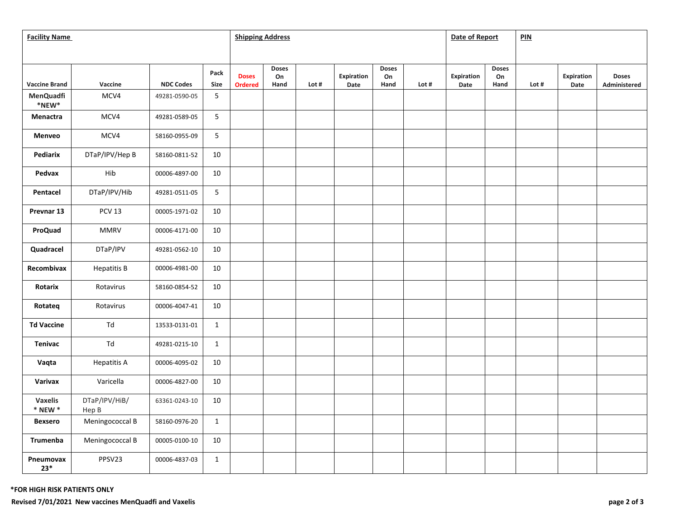| <b>Facility Name</b>                        |                        |                  |              |                                | <b>Shipping Address</b>    |       |                           |                            |       |                    |                            | PIN   |                           |                              |
|---------------------------------------------|------------------------|------------------|--------------|--------------------------------|----------------------------|-------|---------------------------|----------------------------|-------|--------------------|----------------------------|-------|---------------------------|------------------------------|
|                                             |                        |                  |              |                                |                            |       |                           |                            |       |                    |                            |       |                           |                              |
| <b>Vaccine Brand</b>                        | Vaccine                | <b>NDC Codes</b> | Pack<br>Size | <b>Doses</b><br><b>Ordered</b> | <b>Doses</b><br>On<br>Hand | Lot # | <b>Expiration</b><br>Date | <b>Doses</b><br>On<br>Hand | Lot # | Expiration<br>Date | <b>Doses</b><br>On<br>Hand | Lot # | <b>Expiration</b><br>Date | <b>Doses</b><br>Administered |
| <b>MenQuadfi</b><br>$^{\ast}$ NEW $^{\ast}$ | MCV4                   | 49281-0590-05    | 5            |                                |                            |       |                           |                            |       |                    |                            |       |                           |                              |
| Menactra                                    | MCV4                   | 49281-0589-05    | 5            |                                |                            |       |                           |                            |       |                    |                            |       |                           |                              |
| Menveo                                      | MCV4                   | 58160-0955-09    | 5            |                                |                            |       |                           |                            |       |                    |                            |       |                           |                              |
| Pediarix                                    | DTaP/IPV/Hep B         | 58160-0811-52    | 10           |                                |                            |       |                           |                            |       |                    |                            |       |                           |                              |
| Pedvax                                      | Hib                    | 00006-4897-00    | 10           |                                |                            |       |                           |                            |       |                    |                            |       |                           |                              |
| Pentacel                                    | DTaP/IPV/Hib           | 49281-0511-05    | 5            |                                |                            |       |                           |                            |       |                    |                            |       |                           |                              |
| Prevnar 13                                  | <b>PCV 13</b>          | 00005-1971-02    | 10           |                                |                            |       |                           |                            |       |                    |                            |       |                           |                              |
| ProQuad                                     | <b>MMRV</b>            | 00006-4171-00    | 10           |                                |                            |       |                           |                            |       |                    |                            |       |                           |                              |
| Quadracel                                   | DTaP/IPV               | 49281-0562-10    | 10           |                                |                            |       |                           |                            |       |                    |                            |       |                           |                              |
| Recombivax                                  | <b>Hepatitis B</b>     | 00006-4981-00    | 10           |                                |                            |       |                           |                            |       |                    |                            |       |                           |                              |
| Rotarix                                     | Rotavirus              | 58160-0854-52    | 10           |                                |                            |       |                           |                            |       |                    |                            |       |                           |                              |
| Rotateq                                     | Rotavirus              | 00006-4047-41    | 10           |                                |                            |       |                           |                            |       |                    |                            |       |                           |                              |
| <b>Td Vaccine</b>                           | Td                     | 13533-0131-01    | $\mathbf{1}$ |                                |                            |       |                           |                            |       |                    |                            |       |                           |                              |
| <b>Tenivac</b>                              | Td                     | 49281-0215-10    | $\mathbf{1}$ |                                |                            |       |                           |                            |       |                    |                            |       |                           |                              |
| Vaqta                                       | <b>Hepatitis A</b>     | 00006-4095-02    | 10           |                                |                            |       |                           |                            |       |                    |                            |       |                           |                              |
| Varivax                                     | Varicella              | 00006-4827-00    | 10           |                                |                            |       |                           |                            |       |                    |                            |       |                           |                              |
| <b>Vaxelis</b><br>$*$ NEW $*$               | DTaP/IPV/HiB/<br>Hep B | 63361-0243-10    | 10           |                                |                            |       |                           |                            |       |                    |                            |       |                           |                              |
| <b>Bexsero</b>                              | Meningococcal B        | 58160-0976-20    | $\mathbf{1}$ |                                |                            |       |                           |                            |       |                    |                            |       |                           |                              |
| Trumenba                                    | Meningococcal B        | 00005-0100-10    | 10           |                                |                            |       |                           |                            |       |                    |                            |       |                           |                              |
| Pneumovax<br>$23*$                          | PPSV23                 | 00006-4837-03    | $\mathbf{1}$ |                                |                            |       |                           |                            |       |                    |                            |       |                           |                              |